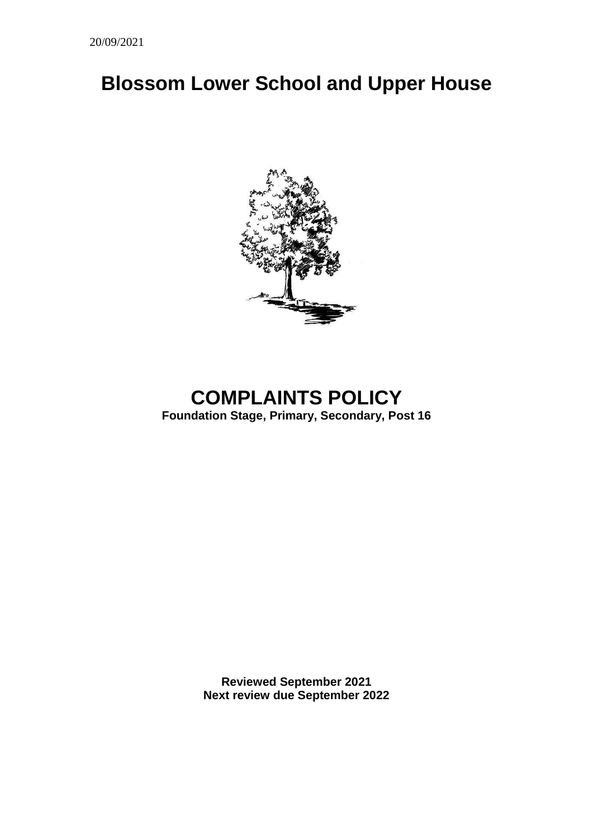# **Blossom Lower School and Upper House**



# **COMPLAINTS POLICY**

**Foundation Stage, Primary, Secondary, Post 16**

**Reviewed September 2021 Next review due September 2022**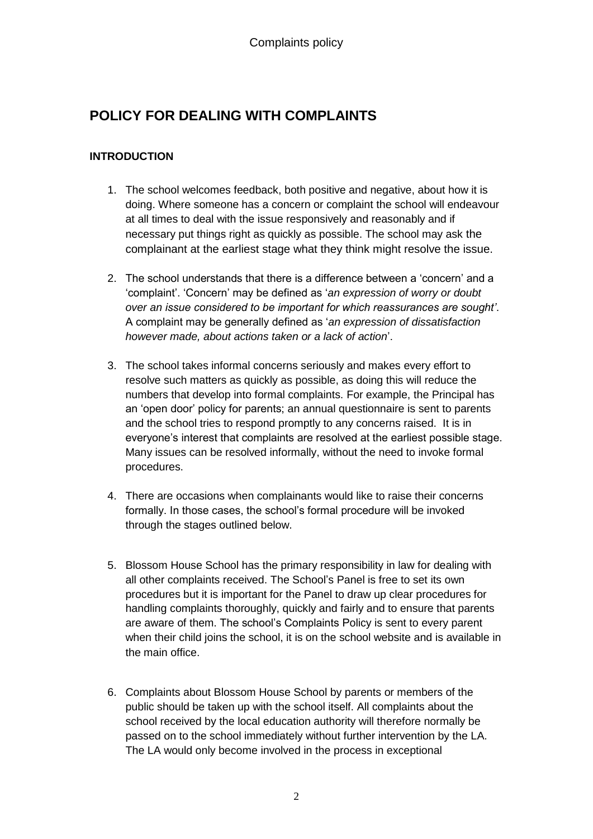# **POLICY FOR DEALING WITH COMPLAINTS**

# **INTRODUCTION**

- 1. The school welcomes feedback, both positive and negative, about how it is doing. Where someone has a concern or complaint the school will endeavour at all times to deal with the issue responsively and reasonably and if necessary put things right as quickly as possible. The school may ask the complainant at the earliest stage what they think might resolve the issue.
- 2. The school understands that there is a difference between a 'concern' and a 'complaint'. 'Concern' may be defined as '*an expression of worry or doubt over an issue considered to be important for which reassurances are sought'*. A complaint may be generally defined as '*an expression of dissatisfaction however made, about actions taken or a lack of action*'.
- 3. The school takes informal concerns seriously and makes every effort to resolve such matters as quickly as possible, as doing this will reduce the numbers that develop into formal complaints. For example, the Principal has an 'open door' policy for parents; an annual questionnaire is sent to parents and the school tries to respond promptly to any concerns raised. It is in everyone's interest that complaints are resolved at the earliest possible stage. Many issues can be resolved informally, without the need to invoke formal procedures.
- 4. There are occasions when complainants would like to raise their concerns formally. In those cases, the school's formal procedure will be invoked through the stages outlined below.
- 5. Blossom House School has the primary responsibility in law for dealing with all other complaints received. The School's Panel is free to set its own procedures but it is important for the Panel to draw up clear procedures for handling complaints thoroughly, quickly and fairly and to ensure that parents are aware of them. The school's Complaints Policy is sent to every parent when their child joins the school, it is on the school website and is available in the main office.
- 6. Complaints about Blossom House School by parents or members of the public should be taken up with the school itself. All complaints about the school received by the local education authority will therefore normally be passed on to the school immediately without further intervention by the LA. The LA would only become involved in the process in exceptional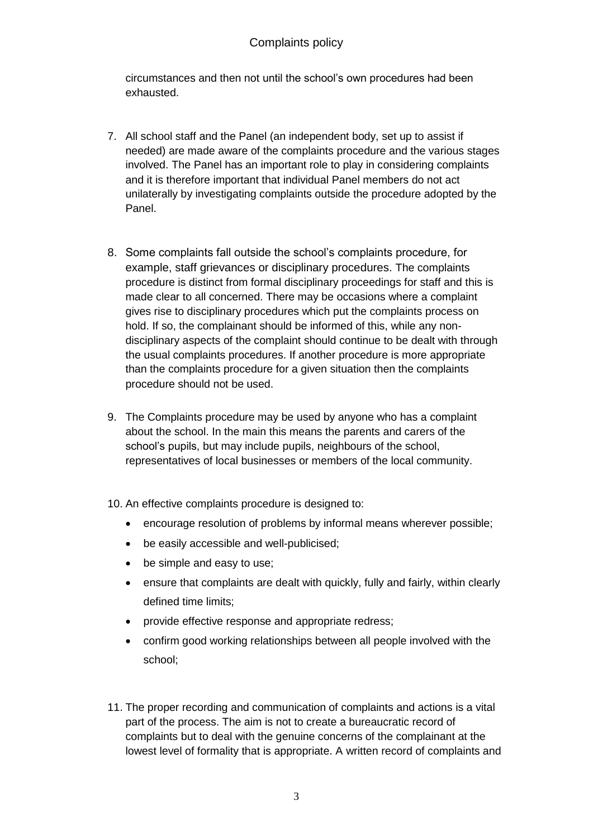# Complaints policy

circumstances and then not until the school's own procedures had been exhausted.

- 7. All school staff and the Panel (an independent body, set up to assist if needed) are made aware of the complaints procedure and the various stages involved. The Panel has an important role to play in considering complaints and it is therefore important that individual Panel members do not act unilaterally by investigating complaints outside the procedure adopted by the Panel.
- 8. Some complaints fall outside the school's complaints procedure, for example, staff grievances or disciplinary procedures. The complaints procedure is distinct from formal disciplinary proceedings for staff and this is made clear to all concerned. There may be occasions where a complaint gives rise to disciplinary procedures which put the complaints process on hold. If so, the complainant should be informed of this, while any nondisciplinary aspects of the complaint should continue to be dealt with through the usual complaints procedures. If another procedure is more appropriate than the complaints procedure for a given situation then the complaints procedure should not be used.
- 9. The Complaints procedure may be used by anyone who has a complaint about the school. In the main this means the parents and carers of the school's pupils, but may include pupils, neighbours of the school, representatives of local businesses or members of the local community.
- 10. An effective complaints procedure is designed to:
	- encourage resolution of problems by informal means wherever possible;
	- be easily accessible and well-publicised:
	- be simple and easy to use;
	- ensure that complaints are dealt with quickly, fully and fairly, within clearly defined time limits;
	- provide effective response and appropriate redress;
	- confirm good working relationships between all people involved with the school;
- 11. The proper recording and communication of complaints and actions is a vital part of the process. The aim is not to create a bureaucratic record of complaints but to deal with the genuine concerns of the complainant at the lowest level of formality that is appropriate. A written record of complaints and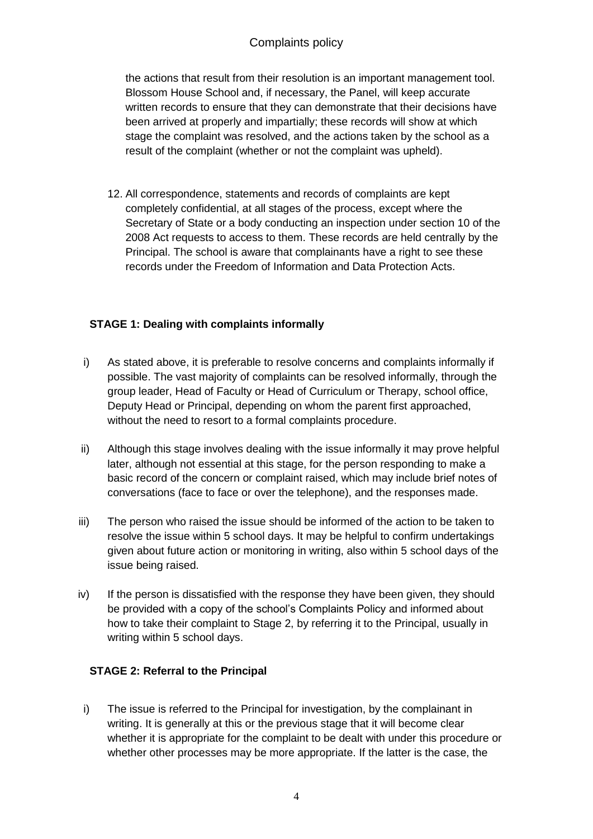# Complaints policy

the actions that result from their resolution is an important management tool. Blossom House School and, if necessary, the Panel, will keep accurate written records to ensure that they can demonstrate that their decisions have been arrived at properly and impartially; these records will show at which stage the complaint was resolved, and the actions taken by the school as a result of the complaint (whether or not the complaint was upheld).

12. All correspondence, statements and records of complaints are kept completely confidential, at all stages of the process, except where the Secretary of State or a body conducting an inspection under section 10 of the 2008 Act requests to access to them. These records are held centrally by the Principal. The school is aware that complainants have a right to see these records under the Freedom of Information and Data Protection Acts.

### **STAGE 1: Dealing with complaints informally**

- i) As stated above, it is preferable to resolve concerns and complaints informally if possible. The vast majority of complaints can be resolved informally, through the group leader, Head of Faculty or Head of Curriculum or Therapy, school office, Deputy Head or Principal, depending on whom the parent first approached, without the need to resort to a formal complaints procedure.
- ii) Although this stage involves dealing with the issue informally it may prove helpful later, although not essential at this stage, for the person responding to make a basic record of the concern or complaint raised, which may include brief notes of conversations (face to face or over the telephone), and the responses made.
- iii) The person who raised the issue should be informed of the action to be taken to resolve the issue within 5 school days. It may be helpful to confirm undertakings given about future action or monitoring in writing, also within 5 school days of the issue being raised.
- iv) If the person is dissatisfied with the response they have been given, they should be provided with a copy of the school's Complaints Policy and informed about how to take their complaint to Stage 2, by referring it to the Principal, usually in writing within 5 school days.

### **STAGE 2: Referral to the Principal**

i) The issue is referred to the Principal for investigation, by the complainant in writing. It is generally at this or the previous stage that it will become clear whether it is appropriate for the complaint to be dealt with under this procedure or whether other processes may be more appropriate. If the latter is the case, the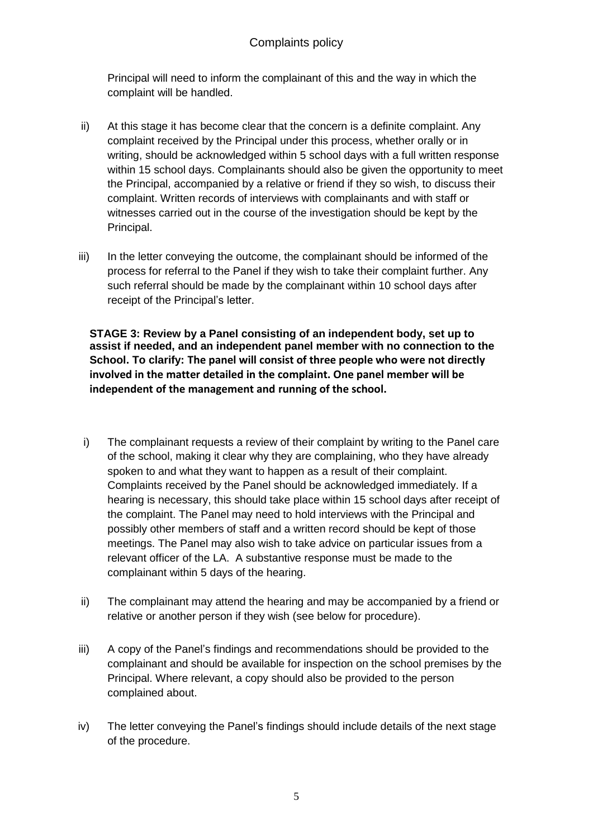Principal will need to inform the complainant of this and the way in which the complaint will be handled.

- ii) At this stage it has become clear that the concern is a definite complaint. Any complaint received by the Principal under this process, whether orally or in writing, should be acknowledged within 5 school days with a full written response within 15 school days. Complainants should also be given the opportunity to meet the Principal, accompanied by a relative or friend if they so wish, to discuss their complaint. Written records of interviews with complainants and with staff or witnesses carried out in the course of the investigation should be kept by the Principal.
- iii) In the letter conveying the outcome, the complainant should be informed of the process for referral to the Panel if they wish to take their complaint further. Any such referral should be made by the complainant within 10 school days after receipt of the Principal's letter.

**STAGE 3: Review by a Panel consisting of an independent body, set up to assist if needed, and an independent panel member with no connection to the School. To clarify: The panel will consist of three people who were not directly involved in the matter detailed in the complaint. One panel member will be independent of the management and running of the school.** 

- i) The complainant requests a review of their complaint by writing to the Panel care of the school, making it clear why they are complaining, who they have already spoken to and what they want to happen as a result of their complaint. Complaints received by the Panel should be acknowledged immediately. If a hearing is necessary, this should take place within 15 school days after receipt of the complaint. The Panel may need to hold interviews with the Principal and possibly other members of staff and a written record should be kept of those meetings. The Panel may also wish to take advice on particular issues from a relevant officer of the LA. A substantive response must be made to the complainant within 5 days of the hearing.
- ii) The complainant may attend the hearing and may be accompanied by a friend or relative or another person if they wish (see below for procedure).
- iii) A copy of the Panel's findings and recommendations should be provided to the complainant and should be available for inspection on the school premises by the Principal. Where relevant, a copy should also be provided to the person complained about.
- iv) The letter conveying the Panel's findings should include details of the next stage of the procedure.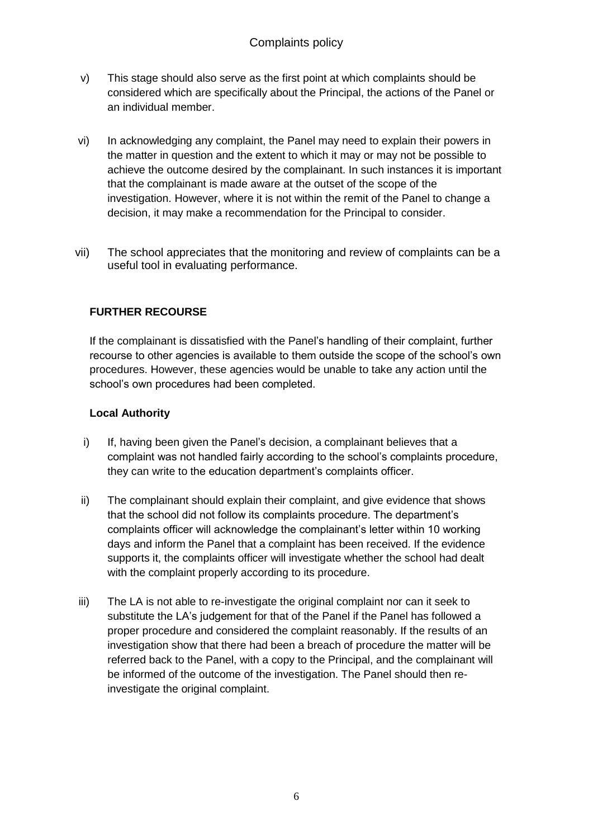- v) This stage should also serve as the first point at which complaints should be considered which are specifically about the Principal, the actions of the Panel or an individual member.
- vi) In acknowledging any complaint, the Panel may need to explain their powers in the matter in question and the extent to which it may or may not be possible to achieve the outcome desired by the complainant. In such instances it is important that the complainant is made aware at the outset of the scope of the investigation. However, where it is not within the remit of the Panel to change a decision, it may make a recommendation for the Principal to consider.
- vii) The school appreciates that the monitoring and review of complaints can be a useful tool in evaluating performance.

# **FURTHER RECOURSE**

If the complainant is dissatisfied with the Panel's handling of their complaint, further recourse to other agencies is available to them outside the scope of the school's own procedures. However, these agencies would be unable to take any action until the school's own procedures had been completed.

#### **Local Authority**

- i) If, having been given the Panel's decision, a complainant believes that a complaint was not handled fairly according to the school's complaints procedure, they can write to the education department's complaints officer.
- ii) The complainant should explain their complaint, and give evidence that shows that the school did not follow its complaints procedure. The department's complaints officer will acknowledge the complainant's letter within 10 working days and inform the Panel that a complaint has been received. If the evidence supports it, the complaints officer will investigate whether the school had dealt with the complaint properly according to its procedure.
- iii) The LA is not able to re-investigate the original complaint nor can it seek to substitute the LA's judgement for that of the Panel if the Panel has followed a proper procedure and considered the complaint reasonably. If the results of an investigation show that there had been a breach of procedure the matter will be referred back to the Panel, with a copy to the Principal, and the complainant will be informed of the outcome of the investigation. The Panel should then reinvestigate the original complaint.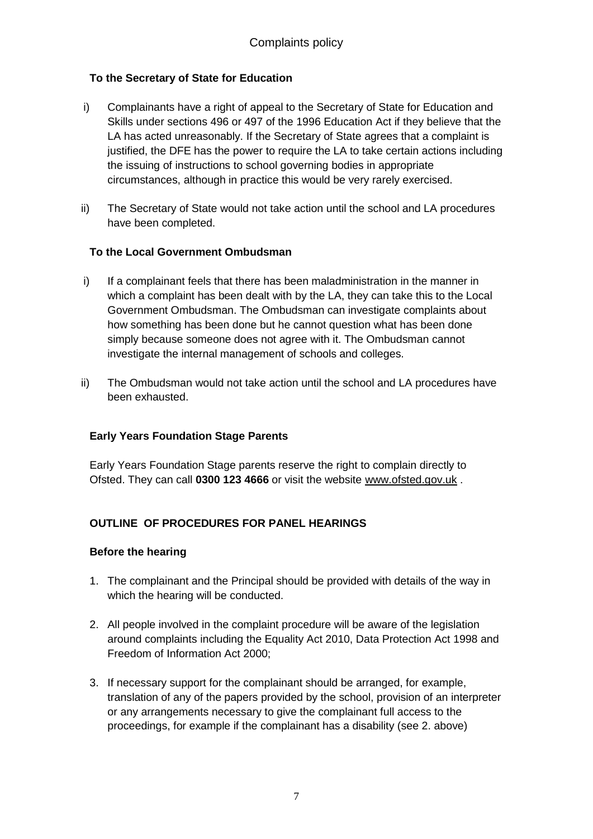# **To the Secretary of State for Education**

- i) Complainants have a right of appeal to the Secretary of State for Education and Skills under sections 496 or 497 of the 1996 Education Act if they believe that the LA has acted unreasonably. If the Secretary of State agrees that a complaint is justified, the DFE has the power to require the LA to take certain actions including the issuing of instructions to school governing bodies in appropriate circumstances, although in practice this would be very rarely exercised.
- ii) The Secretary of State would not take action until the school and LA procedures have been completed.

# **To the Local Government Ombudsman**

- i) If a complainant feels that there has been maladministration in the manner in which a complaint has been dealt with by the LA, they can take this to the Local Government Ombudsman. The Ombudsman can investigate complaints about how something has been done but he cannot question what has been done simply because someone does not agree with it. The Ombudsman cannot investigate the internal management of schools and colleges.
- ii) The Ombudsman would not take action until the school and LA procedures have been exhausted.

### **Early Years Foundation Stage Parents**

Early Years Foundation Stage parents reserve the right to complain directly to Ofsted. They can call **0300 123 4666** or visit the website [www.ofsted.gov.uk](http://www.ofsted.gov.uk/) .

### **OUTLINE OF PROCEDURES FOR PANEL HEARINGS**

### **Before the hearing**

- 1. The complainant and the Principal should be provided with details of the way in which the hearing will be conducted.
- 2. All people involved in the complaint procedure will be aware of the legislation around complaints including the Equality Act 2010, Data Protection Act 1998 and Freedom of Information Act 2000;
- 3. If necessary support for the complainant should be arranged, for example, translation of any of the papers provided by the school, provision of an interpreter or any arrangements necessary to give the complainant full access to the proceedings, for example if the complainant has a disability (see 2. above)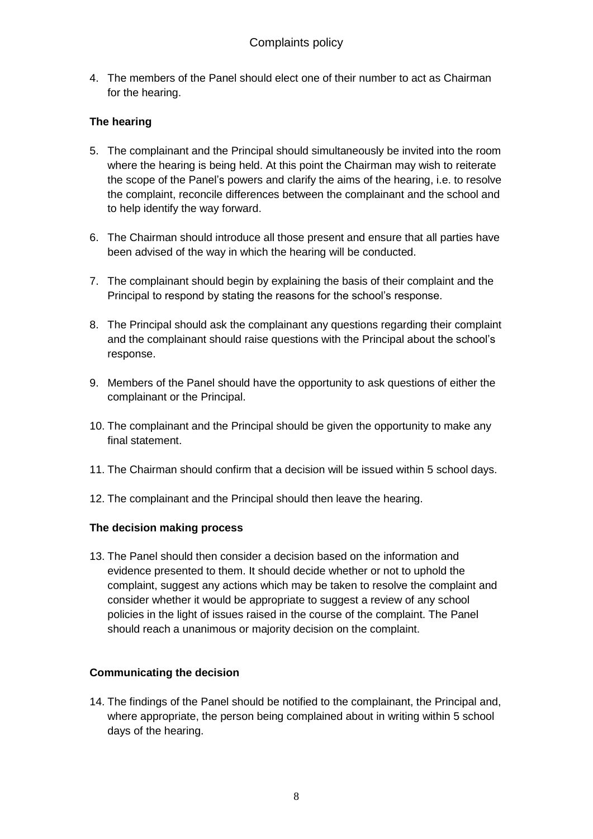4. The members of the Panel should elect one of their number to act as Chairman for the hearing.

# **The hearing**

- 5. The complainant and the Principal should simultaneously be invited into the room where the hearing is being held. At this point the Chairman may wish to reiterate the scope of the Panel's powers and clarify the aims of the hearing, i.e. to resolve the complaint, reconcile differences between the complainant and the school and to help identify the way forward.
- 6. The Chairman should introduce all those present and ensure that all parties have been advised of the way in which the hearing will be conducted.
- 7. The complainant should begin by explaining the basis of their complaint and the Principal to respond by stating the reasons for the school's response.
- 8. The Principal should ask the complainant any questions regarding their complaint and the complainant should raise questions with the Principal about the school's response.
- 9. Members of the Panel should have the opportunity to ask questions of either the complainant or the Principal.
- 10. The complainant and the Principal should be given the opportunity to make any final statement.
- 11. The Chairman should confirm that a decision will be issued within 5 school days.
- 12. The complainant and the Principal should then leave the hearing.

#### **The decision making process**

13. The Panel should then consider a decision based on the information and evidence presented to them. It should decide whether or not to uphold the complaint, suggest any actions which may be taken to resolve the complaint and consider whether it would be appropriate to suggest a review of any school policies in the light of issues raised in the course of the complaint. The Panel should reach a unanimous or majority decision on the complaint.

### **Communicating the decision**

14. The findings of the Panel should be notified to the complainant, the Principal and, where appropriate, the person being complained about in writing within 5 school days of the hearing.